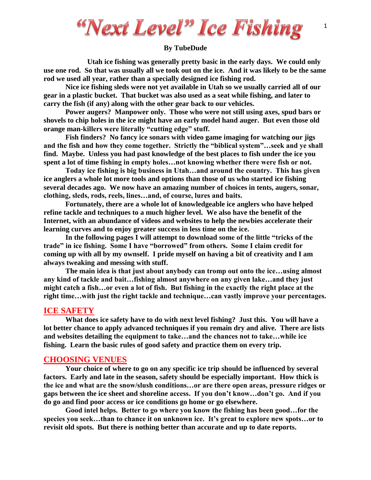"Next Level" Ice Fishing

#### **By TubeDude**

**Utah ice fishing was generally pretty basic in the early days. We could only use one rod. So that was usually all we took out on the ice. And it was likely to be the same rod we used all year, rather than a specially designed ice fishing rod.**

**Nice ice fishing sleds were not yet available in Utah so we usually carried all of our gear in a plastic bucket. That bucket was also used as a seat while fishing, and later to carry the fish (if any) along with the other gear back to our vehicles.**

**Power augers? Manpower only. Those who were not still using axes, spud bars or shovels to chip holes in the ice might have an early model hand auger. But even those old orange man-killers were literally "cutting edge" stuff.**

**Fish finders? No fancy ice sonars with video game imaging for watching our jigs and the fish and how they come together. Strictly the "biblical system"…seek and ye shall find. Maybe. Unless you had past knowledge of the best places to fish under the ice you spent a lot of time fishing in empty holes…not knowing whether there were fish or not.**

**Today ice fishing is big business in Utah…and around the country. This has given ice anglers a whole lot more tools and options than those of us who started ice fishing several decades ago. We now have an amazing number of choices in tents, augers, sonar, clothing, sleds, rods, reels, lines…and, of course, lures and baits.**

**Fortunately, there are a whole lot of knowledgeable ice anglers who have helped refine tackle and techniques to a much higher level. We also have the benefit of the Internet, with an abundance of videos and websites to help the newbies accelerate their learning curves and to enjoy greater success in less time on the ice.**

**In the following pages I will attempt to download some of the little "tricks of the trade" in ice fishing. Some I have "borrowed" from others. Some I claim credit for coming up with all by my ownself. I pride myself on having a bit of creativity and I am always tweaking and messing with stuff.**

**The main idea is that just about anybody can tromp out onto the ice…using almost any kind of tackle and bait…fishing almost anywhere on any given lake…and they just might catch a fish…or even a lot of fish. But fishing in the exactly the right place at the right time…with just the right tackle and technique…can vastly improve your percentages.**

#### **ICE SAFETY**

**What does ice safety have to do with next level fishing? Just this. You will have a lot better chance to apply advanced techniques if you remain dry and alive. There are lists and websites detailing the equipment to take…and the chances not to take…while ice fishing. Learn the basic rules of good safety and practice them on every trip.**

#### **CHOOSING VENUES**

**Your choice of where to go on any specific ice trip should be influenced by several factors. Early and late in the season, safety should be especially important. How thick is the ice and what are the snow/slush conditions…or are there open areas, pressure ridges or gaps between the ice sheet and shoreline access. If you don't know…don't go. And if you do go and find poor access or ice conditions go home or go elsewhere.**

**Good intel helps. Better to go where you know the fishing has been good…for the species you seek…than to chance it on unknown ice. It's great to explore new spots…or to revisit old spots. But there is nothing better than accurate and up to date reports.**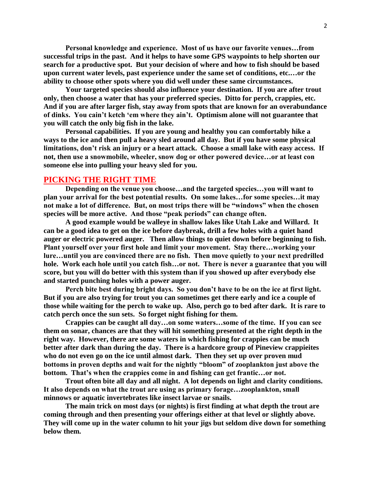**Personal knowledge and experience. Most of us have our favorite venues…from successful trips in the past. And it helps to have some GPS waypoints to help shorten our search for a productive spot. But your decision of where and how to fish should be based upon current water levels, past experience under the same set of conditions, etc.…or the ability to choose other spots where you did well under these same circumstances.**

**Your targeted species should also influence your destination. If you are after trout only, then choose a water that has your preferred species. Ditto for perch, crappies, etc. And if you are after larger fish, stay away from spots that are known for an overabundance of dinks. You cain't ketch 'em where they ain't. Optimism alone will not guarantee that you will catch the only big fish in the lake.**

**Personal capabilities. If you are young and healthy you can comfortably hike a ways to the ice and then pull a heavy sled around all day. But if you have some physical limitations, don't risk an injury or a heart attack. Choose a small lake with easy access. If not, then use a snowmobile, wheeler, snow dog or other powered device…or at least con someone else into pulling your heavy sled for you.** 

## **PICKING THE RIGHT TIME**

**Depending on the venue you choose…and the targeted species…you will want to plan your arrival for the best potential results. On some lakes…for some species…it may not make a lot of difference. But, on most trips there will be "windows" when the chosen species will be more active. And those "peak periods" can change often.**

**A good example would be walleye in shallow lakes like Utah Lake and Willard. It can be a good idea to get on the ice before daybreak, drill a few holes with a quiet hand auger or electric powered auger. Then allow things to quiet down before beginning to fish. Plant yourself over your first hole and limit your movement. Stay there…working your lure…until you are convinced there are no fish. Then move quietly to your next predrilled hole. Work each hole until you catch fish…or not. There is never a guarantee that you will score, but you will do better with this system than if you showed up after everybody else and started punching holes with a power auger.**

**Perch bite best during bright days. So you don't have to be on the ice at first light. But if you are also trying for trout you can sometimes get there early and ice a couple of those while waiting for the perch to wake up. Also, perch go to bed after dark. It is rare to catch perch once the sun sets. So forget night fishing for them.**

**Crappies can be caught all day…on some waters…some of the time. If you can see them on sonar, chances are that they will hit something presented at the right depth in the right way. However, there are some waters in which fishing for crappies can be much better after dark than during the day. There is a hardcore group of Pineview crappieites who do not even go on the ice until almost dark. Then they set up over proven mud bottoms in proven depths and wait for the nightly "bloom" of zooplankton just above the bottom. That's when the crappies come in and fishing can get frantic…or not.**

**Trout often bite all day and all night. A lot depends on light and clarity conditions. It also depends on what the trout are using as primary forage…zooplankton, small minnows or aquatic invertebrates like insect larvae or snails.** 

**The main trick on most days (or nights) is first finding at what depth the trout are coming through and then presenting your offerings either at that level or slightly above. They will come up in the water column to hit your jigs but seldom dive down for something below them.**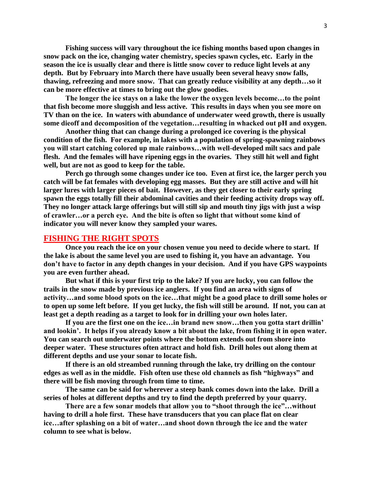**Fishing success will vary throughout the ice fishing months based upon changes in snow pack on the ice, changing water chemistry, species spawn cycles, etc. Early in the season the ice is usually clear and there is little snow cover to reduce light levels at any depth. But by February into March there have usually been several heavy snow falls, thawing, refreezing and more snow. That can greatly reduce visibility at any depth…so it can be more effective at times to bring out the glow goodies.**

**The longer the ice stays on a lake the lower the oxygen levels become…to the point that fish become more sluggish and less active. This results in days when you see more on TV than on the ice. In waters with abundance of underwater weed growth, there is usually some dieoff and decomposition of the vegetation…resulting in whacked out pH and oxygen.**

**Another thing that can change during a prolonged ice covering is the physical condition of the fish. For example, in lakes with a population of spring-spawning rainbows you will start catching colored up male rainbows…with well-developed milt sacs and pale flesh. And the females will have ripening eggs in the ovaries. They still hit well and fight well, but are not as good to keep for the table.**

**Perch go through some changes under ice too. Even at first ice, the larger perch you catch will be fat females with developing egg masses. But they are still active and will hit larger lures with larger pieces of bait. However, as they get closer to their early spring spawn the eggs totally fill their abdominal cavities and their feeding activity drops way off. They no longer attack large offerings but will still sip and mouth tiny jigs with just a wisp of crawler…or a perch eye. And the bite is often so light that without some kind of indicator you will never know they sampled your wares.**

#### **FISHING THE RIGHT SPOTS**

**Once you reach the ice on your chosen venue you need to decide where to start. If the lake is about the same level you are used to fishing it, you have an advantage. You don't have to factor in any depth changes in your decision. And if you have GPS waypoints you are even further ahead.** 

**But what if this is your first trip to the lake? If you are lucky, you can follow the trails in the snow made by previous ice anglers. If you find an area with signs of activity…and some blood spots on the ice…that might be a good place to drill some holes or to open up some left before. If you get lucky, the fish will still be around. If not, you can at least get a depth reading as a target to look for in drilling your own holes later.**

**If you are the first one on the ice…in brand new snow…then you gotta start drillin' and lookin'. It helps if you already know a bit about the lake, from fishing it in open water. You can search out underwater points where the bottom extends out from shore into deeper water. These structures often attract and hold fish. Drill holes out along them at different depths and use your sonar to locate fish.** 

**If there is an old streambed running through the lake, try drilling on the contour edges as well as in the middle. Fish often use these old channels as fish "highways" and there will be fish moving through from time to time.**

**The same can be said for wherever a steep bank comes down into the lake. Drill a series of holes at different depths and try to find the depth preferred by your quarry.**

**There are a few sonar models that allow you to "shoot through the ice"…without having to drill a hole first. These have transducers that you can place flat on clear ice…after splashing on a bit of water…and shoot down through the ice and the water column to see what is below.**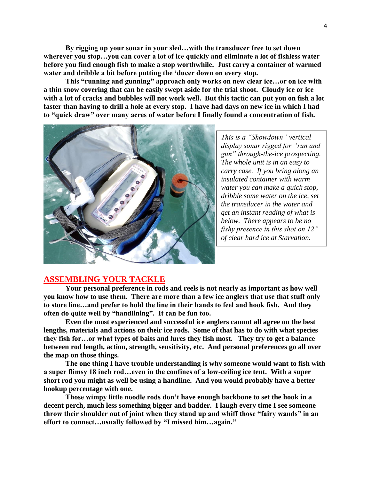**By rigging up your sonar in your sled…with the transducer free to set down wherever you stop…you can cover a lot of ice quickly and eliminate a lot of fishless water before you find enough fish to make a stop worthwhile. Just carry a container of warmed water and dribble a bit before putting the 'ducer down on every stop.**

**This "running and gunning" approach only works on new clear ice…or on ice with a thin snow covering that can be easily swept aside for the trial shoot. Cloudy ice or ice with a lot of cracks and bubbles will not work well. But this tactic can put you on fish a lot faster than having to drill a hole at every stop. I have had days on new ice in which I had to "quick draw" over many acres of water before I finally found a concentration of fish.**



*This is a "Showdown" vertical display sonar rigged for "run and gun" through-the-ice prospecting. The whole unit is in an easy to carry case. If you bring along an insulated container with warm water you can make a quick stop, dribble some water on the ice, set the transducer in the water and get an instant reading of what is below. There appears to be no fishy presence in this shot on 12" of clear hard ice at Starvation.*

# **ASSEMBLING YOUR TACKLE**

**Your personal preference in rods and reels is not nearly as important as how well you know how to use them. There are more than a few ice anglers that use that stuff only to store line…and prefer to hold the line in their hands to feel and hook fish. And they often do quite well by "handlining". It can be fun too.**

**Even the most experienced and successful ice anglers cannot all agree on the best lengths, materials and actions on their ice rods. Some of that has to do with what species they fish for…or what types of baits and lures they fish most. They try to get a balance between rod length, action, strength, sensitivity, etc. And personal preferences go all over the map on those things.**

**The one thing I have trouble understanding is why someone would want to fish with a super flimsy 18 inch rod…even in the confines of a low-ceiling ice tent. With a super short rod you might as well be using a handline. And you would probably have a better hookup percentage with one.** 

**Those wimpy little noodle rods don't have enough backbone to set the hook in a decent perch, much less something bigger and badder. I laugh every time I see someone throw their shoulder out of joint when they stand up and whiff those "fairy wands" in an effort to connect…usually followed by "I missed him…again."**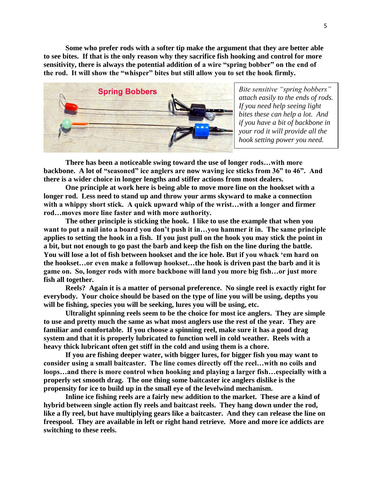**Some who prefer rods with a softer tip make the argument that they are better able to see bites. If that is the only reason why they sacrifice fish hooking and control for more sensitivity, there is always the potential addition of a wire "spring bobber" on the end of the rod. It will show the "whisper" bites but still allow you to set the hook firmly.**



*Bite sensitive "spring bobbers" attach easily to the ends of rods. If you need help seeing light bites these can help a lot. And if you have a bit of backbone in your rod it will provide all the hook setting power you need.*

**There has been a noticeable swing toward the use of longer rods…with more backbone. A lot of "seasoned" ice anglers are now waving ice sticks from 36" to 46". And there is a wider choice in longer lengths and stiffer actions from most dealers.**

**One principle at work here is being able to move more line on the hookset with a longer rod. Less need to stand up and throw your arms skyward to make a connection with a whippy short stick. A quick upward whip of the wrist…with a longer and firmer rod…moves more line faster and with more authority.**

**The other principle is sticking the hook. I like to use the example that when you want to put a nail into a board you don't push it in…you hammer it in. The same principle applies to setting the hook in a fish. If you just pull on the hook you may stick the point in a bit, but not enough to go past the barb and keep the fish on the line during the battle. You will lose a lot of fish between hookset and the ice hole. But if you whack 'em hard on the hookset…or even make a followup hookset…the hook is driven past the barb and it is game on. So, longer rods with more backbone will land you more big fish…or just more fish all together.**

**Reels? Again it is a matter of personal preference. No single reel is exactly right for everybody. Your choice should be based on the type of line you will be using, depths you will be fishing, species you will be seeking, lures you will be using, etc.**

**Ultralight spinning reels seem to be the choice for most ice anglers. They are simple to use and pretty much the same as what most anglers use the rest of the year. They are familiar and comfortable. If you choose a spinning reel, make sure it has a good drag system and that it is properly lubricated to function well in cold weather. Reels with a heavy thick lubricant often get stiff in the cold and using them is a chore.** 

**If you are fishing deeper water, with bigger lures, for bigger fish you may want to consider using a small baitcaster. The line comes directly off the reel…with no coils and loops…and there is more control when hooking and playing a larger fish…especially with a properly set smooth drag. The one thing some baitcaster ice anglers dislike is the propensity for ice to build up in the small eye of the levelwind mechanism.**

**Inline ice fishing reels are a fairly new addition to the market. These are a kind of hybrid between single action fly reels and baitcast reels. They hang down under the rod, like a fly reel, but have multiplying gears like a baitcaster. And they can release the line on freespool. They are available in left or right hand retrieve. More and more ice addicts are switching to these reels.**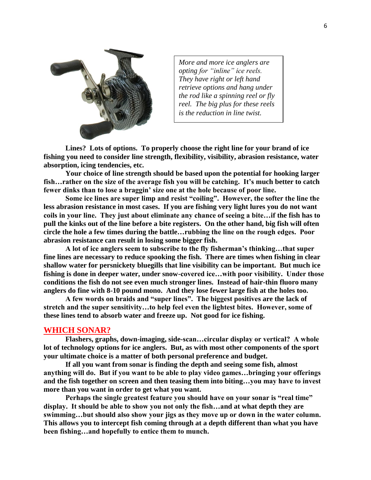

*More and more ice anglers are opting for "inline" ice reels. They have right or left hand retrieve options and hang under the rod like a spinning reel or fly reel. The big plus for these reels is the reduction in line twist.*

**Lines? Lots of options. To properly choose the right line for your brand of ice fishing you need to consider line strength, flexibility, visibility, abrasion resistance, water absorption, icing tendencies, etc.** 

**Your choice of line strength should be based upon the potential for hooking larger fish…rather on the size of the average fish you will be catching. It's much better to catch fewer dinks than to lose a braggin' size one at the hole because of poor line.** 

**Some ice lines are super limp and resist "coiling". However, the softer the line the less abrasion resistance in most cases. If you are fishing very light lures you do not want coils in your line. They just about eliminate any chance of seeing a bite…if the fish has to pull the kinks out of the line before a bite registers. On the other hand, big fish will often circle the hole a few times during the battle…rubbing the line on the rough edges. Poor abrasion resistance can result in losing some bigger fish.**

**A lot of ice anglers seem to subscribe to the fly fisherman's thinking…that super fine lines are necessary to reduce spooking the fish. There are times when fishing in clear shallow water for persnickety bluegills that line visibility can be important. But much ice fishing is done in deeper water, under snow-covered ice…with poor visibility. Under those conditions the fish do not see even much stronger lines. Instead of hair-thin fluoro many anglers do fine with 8-10 pound mono. And they lose fewer large fish at the holes too.**

**A few words on braids and "super lines". The biggest positives are the lack of stretch and the super sensitivity…to help feel even the lightest bites. However, some of these lines tend to absorb water and freeze up. Not good for ice fishing.** 

## **WHICH SONAR?**

**Flashers, graphs, down-imaging, side-scan…circular display or vertical? A whole lot of technology options for ice anglers. But, as with most other components of the sport your ultimate choice is a matter of both personal preference and budget.** 

**If all you want from sonar is finding the depth and seeing some fish, almost anything will do. But if you want to be able to play video games…bringing your offerings and the fish together on screen and then teasing them into biting…you may have to invest more than you want in order to get what you want.** 

**Perhaps the single greatest feature you should have on your sonar is "real time" display. It should be able to show you not only the fish…and at what depth they are swimming…but should also show your jigs as they move up or down in the water column. This allows you to intercept fish coming through at a depth different than what you have been fishing…and hopefully to entice them to munch.**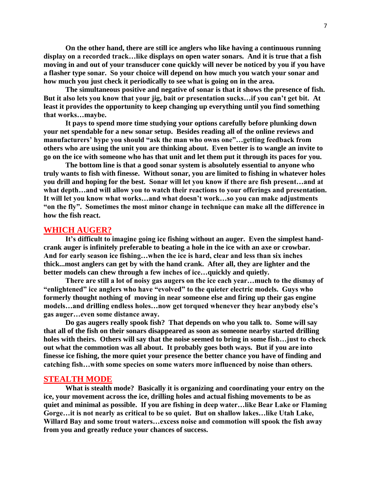**On the other hand, there are still ice anglers who like having a continuous running display on a recorded track…like displays on open water sonars. And it is true that a fish moving in and out of your transducer cone quickly will never be noticed by you if you have a flasher type sonar. So your choice will depend on how much you watch your sonar and how much you just check it periodically to see what is going on in the area.**

**The simultaneous positive and negative of sonar is that it shows the presence of fish. But it also lets you know that your jig, bait or presentation sucks…if you can't get bit. At least it provides the opportunity to keep changing up everything until you find something that works…maybe.**

**It pays to spend more time studying your options carefully before plunking down your net spendable for a new sonar setup. Besides reading all of the online reviews and manufacturers' hype you should "ask the man who owns one"…getting feedback from others who are using the unit you are thinking about. Even better is to wangle an invite to go on the ice with someone who has that unit and let them put it through its paces for you.** 

**The bottom line is that a good sonar system is absolutely essential to anyone who truly wants to fish with finesse. Without sonar, you are limited to fishing in whatever holes you drill and hoping for the best. Sonar will let you know if there are fish present…and at what depth…and will allow you to watch their reactions to your offerings and presentation. It will let you know what works…and what doesn't work…so you can make adjustments "on the fly". Sometimes the most minor change in technique can make all the difference in how the fish react.**

## **WHICH AUGER?**

**It's difficult to imagine going ice fishing without an auger. Even the simplest handcrank auger is infinitely preferable to beating a hole in the ice with an axe or crowbar. And for early season ice fishing…when the ice is hard, clear and less than six inches thick...most anglers can get by with the hand crank. After all, they are lighter and the better models can chew through a few inches of ice…quickly and quietly.**

**There are still a lot of noisy gas augers on the ice each year…much to the dismay of "enlightened" ice anglers who have "evolved" to the quieter electric models. Guys who formerly thought nothing of moving in near someone else and firing up their gas engine models…and drilling endless holes…now get torqued whenever they hear anybody else's gas auger…even some distance away.**

**Do gas augers really spook fish? That depends on who you talk to. Some will say that all of the fish on their sonars disappeared as soon as someone nearby started drilling holes with theirs. Others will say that the noise seemed to bring in some fish…just to check out what the commotion was all about. It probably goes both ways. But if you are into finesse ice fishing, the more quiet your presence the better chance you have of finding and catching fish…with some species on some waters more influenced by noise than others.**

#### **STEALTH MODE**

**What is stealth mode? Basically it is organizing and coordinating your entry on the ice, your movement across the ice, drilling holes and actual fishing movements to be as quiet and minimal as possible. If you are fishing in deep water…like Bear Lake or Flaming Gorge…it is not nearly as critical to be so quiet. But on shallow lakes…like Utah Lake, Willard Bay and some trout waters…excess noise and commotion will spook the fish away from you and greatly reduce your chances of success.**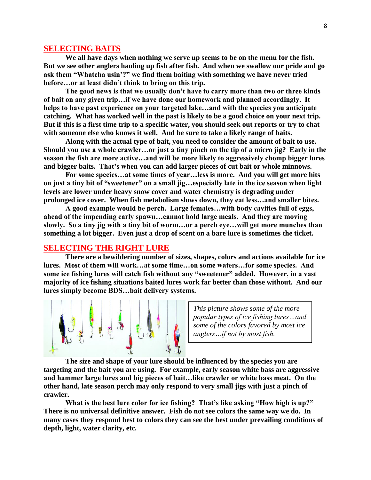## **SELECTING BAITS**

**We all have days when nothing we serve up seems to be on the menu for the fish. But we see other anglers hauling up fish after fish. And when we swallow our pride and go ask them "Whatcha usin'?" we find them baiting with something we have never tried before…or at least didn't think to bring on this trip.**

**The good news is that we usually don't have to carry more than two or three kinds of bait on any given trip…if we have done our homework and planned accordingly. It helps to have past experience on your targeted lake…and with the species you anticipate catching. What has worked well in the past is likely to be a good choice on your next trip. But if this is a first time trip to a specific water, you should seek out reports or try to chat with someone else who knows it well. And be sure to take a likely range of baits.**

**Along with the actual type of bait, you need to consider the amount of bait to use. Should you use a whole crawler…or just a tiny pinch on the tip of a micro jig? Early in the season the fish are more active…and will be more likely to aggressively chomp bigger lures and bigger baits. That's when you can add larger pieces of cut bait or whole minnows.**

**For some species…at some times of year…less is more. And you will get more hits on just a tiny bit of "sweetener" on a small jig…especially late in the ice season when light levels are lower under heavy snow cover and water chemistry is degrading under prolonged ice cover. When fish metabolism slows down, they eat less…and smaller bites.**

**A good example would be perch. Large females…with body cavities full of eggs, ahead of the impending early spawn…cannot hold large meals. And they are moving slowly. So a tiny jig with a tiny bit of worm…or a perch eye…will get more munches than something a lot bigger. Even just a drop of scent on a bare lure is sometimes the ticket.**

## **SELECTING THE RIGHT LURE**

**There are a bewildering number of sizes, shapes, colors and actions available for ice lures. Most of them will work…at some time…on some waters…for some species. And some ice fishing lures will catch fish without any "sweetener" added. However, in a vast majority of ice fishing situations baited lures work far better than those without. And our lures simply become BDS…bait delivery systems.**



*This picture shows some of the more popular types of ice fishing lures…and some of the colors favored by most ice anglers…if not by most fish.* 

**The size and shape of your lure should be influenced by the species you are targeting and the bait you are using. For example, early season white bass are aggressive and hammer large lures and big pieces of bait…like crawler or white bass meat. On the other hand, late season perch may only respond to very small jigs with just a pinch of crawler.**

**What is the best lure color for ice fishing? That's like asking "How high is up?" There is no universal definitive answer. Fish do not see colors the same way we do. In many cases they respond best to colors they can see the best under prevailing conditions of depth, light, water clarity, etc.**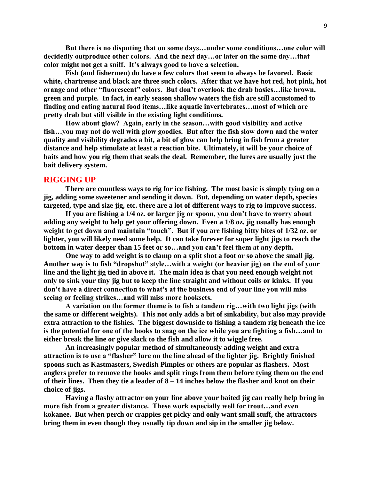**But there is no disputing that on some days…under some conditions…one color will decidedly outproduce other colors. And the next day…or later on the same day…that color might not get a sniff. It's always good to have a selection.**

**Fish (and fishermen) do have a few colors that seem to always be favored. Basic white, chartreuse and black are three such colors. After that we have hot red, hot pink, hot orange and other "fluorescent" colors. But don't overlook the drab basics…like brown, green and purple. In fact, in early season shallow waters the fish are still accustomed to finding and eating natural food items…like aquatic invertebrates…most of which are pretty drab but still visible in the existing light conditions.**

**How about glow? Again, early in the season…with good visibility and active fish…you may not do well with glow goodies. But after the fish slow down and the water quality and visibility degrades a bit, a bit of glow can help bring in fish from a greater distance and help stimulate at least a reaction bite. Ultimately, it will be your choice of baits and how you rig them that seals the deal. Remember, the lures are usually just the bait delivery system.**

#### **RIGGING UP**

**There are countless ways to rig for ice fishing. The most basic is simply tying on a jig, adding some sweetener and sending it down. But, depending on water depth, species targeted, type and size jig, etc. there are a lot of different ways to rig to improve success.**

**If you are fishing a 1/4 oz. or larger jig or spoon, you don't have to worry about adding any weight to help get your offering down. Even a 1/8 oz. jig usually has enough weight to get down and maintain "touch". But if you are fishing bitty bites of 1/32 oz. or lighter, you will likely need some help. It can take forever for super light jigs to reach the bottom in water deeper than 15 feet or so…and you can't feel them at any depth.**

**One way to add weight is to clamp on a split shot a foot or so above the small jig. Another way is to fish "dropshot" style…with a weight (or heavier jig) on the end of your line and the light jig tied in above it. The main idea is that you need enough weight not only to sink your tiny jig but to keep the line straight and without coils or kinks. If you don't have a direct connection to what's at the business end of your line you will miss seeing or feeling strikes…and will miss more hooksets.**

**A variation on the former theme is to fish a tandem rig…with two light jigs (with the same or different weights). This not only adds a bit of sinkability, but also may provide extra attraction to the fishies. The biggest downside to fishing a tandem rig beneath the ice is the potential for one of the hooks to snag on the ice while you are fighting a fish…and to either break the line or give slack to the fish and allow it to wiggle free.**

**An increasingly popular method of simultaneously adding weight and extra attraction is to use a "flasher" lure on the line ahead of the lighter jig. Brightly finished spoons such as Kastmasters, Swedish Pimples or others are popular as flashers. Most anglers prefer to remove the hooks and split rings from them before tying them on the end of their lines. Then they tie a leader of 8 – 14 inches below the flasher and knot on their choice of jigs.**

**Having a flashy attractor on your line above your baited jig can really help bring in more fish from a greater distance. These work especially well for trout…and even kokanee. But when perch or crappies get picky and only want small stuff, the attractors bring them in even though they usually tip down and sip in the smaller jig below.**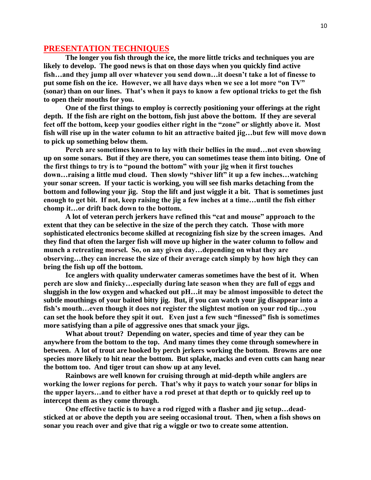# **PRESENTATION TECHNIQUES**

**The longer you fish through the ice, the more little tricks and techniques you are likely to develop. The good news is that on those days when you quickly find active fish…and they jump all over whatever you send down…it doesn't take a lot of finesse to put some fish on the ice. However, we all have days when we see a lot more "on TV" (sonar) than on our lines. That's when it pays to know a few optional tricks to get the fish to open their mouths for you.**

**One of the first things to employ is correctly positioning your offerings at the right depth. If the fish are right on the bottom, fish just above the bottom. If they are several feet off the bottom, keep your goodies either right in the "zone" or slightly above it. Most fish will rise up in the water column to hit an attractive baited jig…but few will move down to pick up something below them.**

**Perch are sometimes known to lay with their bellies in the mud…not even showing up on some sonars. But if they are there, you can sometimes tease them into biting. One of the first things to try is to "pound the bottom" with your jig when it first touches down…raising a little mud cloud. Then slowly "shiver lift" it up a few inches…watching your sonar screen. If your tactic is working, you will see fish marks detaching from the bottom and following your jig. Stop the lift and just wiggle it a bit. That is sometimes just enough to get bit. If not, keep raising the jig a few inches at a time…until the fish either chomp it…or drift back down to the bottom.**

**A lot of veteran perch jerkers have refined this "cat and mouse" approach to the extent that they can be selective in the size of the perch they catch. Those with more sophisticated electronics become skilled at recognizing fish size by the screen images. And they find that often the larger fish will move up higher in the water column to follow and munch a retreating morsel. So, on any given day…depending on what they are observing…they can increase the size of their average catch simply by how high they can bring the fish up off the bottom.**

**Ice anglers with quality underwater cameras sometimes have the best of it. When perch are slow and finicky…especially during late season when they are full of eggs and sluggish in the low oxygen and whacked out pH…it may be almost impossible to detect the subtle mouthings of your baited bitty jig. But, if you can watch your jig disappear into a fish's mouth…even though it does not register the slightest motion on your rod tip…you can set the hook before they spit it out. Even just a few such "finessed" fish is sometimes more satisfying than a pile of aggressive ones that smack your jigs.**

**What about trout? Depending on water, species and time of year they can be anywhere from the bottom to the top. And many times they come through somewhere in between. A lot of trout are hooked by perch jerkers working the bottom. Browns are one species more likely to hit near the bottom. But splake, macks and even cutts can hang near the bottom too. And tiger trout can show up at any level.**

**Rainbows are well known for cruising through at mid-depth while anglers are working the lower regions for perch. That's why it pays to watch your sonar for blips in the upper layers…and to either have a rod preset at that depth or to quickly reel up to intercept them as they come through.** 

**One effective tactic is to have a rod rigged with a flasher and jig setup…deadsticked at or above the depth you are seeing occasional trout. Then, when a fish shows on sonar you reach over and give that rig a wiggle or two to create some attention.**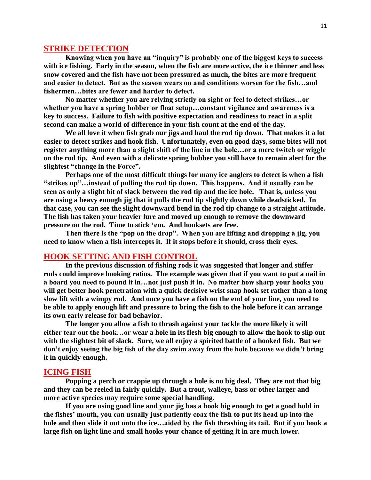## **STRIKE DETECTION**

**Knowing when you have an "inquiry" is probably one of the biggest keys to success with ice fishing. Early in the season, when the fish are more active, the ice thinner and less snow covered and the fish have not been pressured as much, the bites are more frequent and easier to detect. But as the season wears on and conditions worsen for the fish…and fishermen…bites are fewer and harder to detect.**

**No matter whether you are relying strictly on sight or feel to detect strikes…or whether you have a spring bobber or float setup…constant vigilance and awareness is a key to success. Failure to fish with positive expectation and readiness to react in a split second can make a world of difference in your fish count at the end of the day.**

**We all love it when fish grab our jigs and haul the rod tip down. That makes it a lot easier to detect strikes and hook fish. Unfortunately, even on good days, some bites will not register anything more than a slight shift of the line in the hole…or a mere twitch or wiggle on the rod tip. And even with a delicate spring bobber you still have to remain alert for the slightest "change in the Force".**

**Perhaps one of the most difficult things for many ice anglers to detect is when a fish "strikes up"…instead of pulling the rod tip down. This happens. And it usually can be seen as only a slight bit of slack between the rod tip and the ice hole. That is, unless you are using a heavy enough jig that it pulls the rod tip slightly down while deadsticked. In that case, you can see the slight downward bend in the rod tip change to a straight attitude. The fish has taken your heavier lure and moved up enough to remove the downward pressure on the rod. Time to stick 'em. And hooksets are free.** 

**Then there is the "pop on the drop". When you are lifting and dropping a jig, you need to know when a fish intercepts it. If it stops before it should, cross their eyes.**

# **HOOK SETTING AND FISH CONTROL**

**In the previous discussion of fishing rods it was suggested that longer and stiffer rods could improve hooking ratios. The example was given that if you want to put a nail in a board you need to pound it in…not just push it in. No matter how sharp your hooks you will get better hook penetration with a quick decisive wrist snap hook set rather than a long slow lift with a wimpy rod. And once you have a fish on the end of your line, you need to be able to apply enough lift and pressure to bring the fish to the hole before it can arrange its own early release for bad behavior.** 

**The longer you allow a fish to thrash against your tackle the more likely it will either tear out the hook…or wear a hole in its flesh big enough to allow the hook to slip out with the slightest bit of slack. Sure, we all enjoy a spirited battle of a hooked fish. But we don't enjoy seeing the big fish of the day swim away from the hole because we didn't bring it in quickly enough.**

## **ICING FISH**

**Popping a perch or crappie up through a hole is no big deal. They are not that big and they can be reeled in fairly quickly. But a trout, walleye, bass or other larger and more active species may require some special handling.** 

**If you are using good line and your jig has a hook big enough to get a good hold in the fishes' mouth, you can usually just patiently coax the fish to put its head up into the hole and then slide it out onto the ice…aided by the fish thrashing its tail. But if you hook a large fish on light line and small hooks your chance of getting it in are much lower.**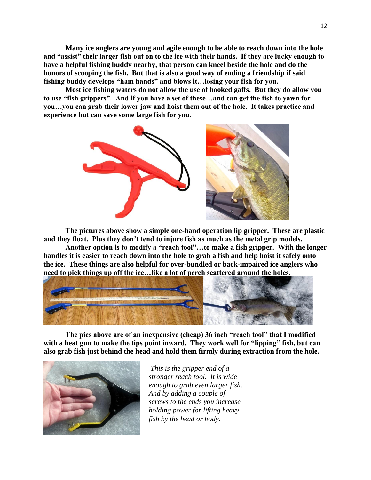**Many ice anglers are young and agile enough to be able to reach down into the hole and "assist" their larger fish out on to the ice with their hands. If they are lucky enough to have a helpful fishing buddy nearby, that person can kneel beside the hole and do the honors of scooping the fish. But that is also a good way of ending a friendship if said fishing buddy develops "ham hands" and blows it…losing your fish for you.**

**Most ice fishing waters do not allow the use of hooked gaffs. But they do allow you to use "fish grippers". And if you have a set of these…and can get the fish to yawn for you…you can grab their lower jaw and hoist them out of the hole. It takes practice and experience but can save some large fish for you.**



**The pictures above show a simple one-hand operation lip gripper. These are plastic and they float. Plus they don't tend to injure fish as much as the metal grip models.** 

**Another option is to modify a "reach tool"…to make a fish gripper. With the longer handles it is easier to reach down into the hole to grab a fish and help hoist it safely onto the ice. These things are also helpful for over-bundled or back-impaired ice anglers who need to pick things up off the ice…like a lot of perch scattered around the holes.**



**The pics above are of an inexpensive (cheap) 36 inch "reach tool" that I modified with a heat gun to make the tips point inward. They work well for "lipping" fish, but can also grab fish just behind the head and hold them firmly during extraction from the hole.**



*This is the gripper end of a stronger reach tool. It is wide enough to grab even larger fish. And by adding a couple of screws to the ends you increase holding power for lifting heavy fish by the head or body.*